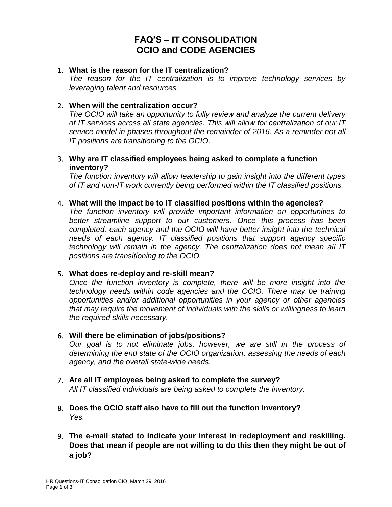# **FAQ'S – IT CONSOLIDATION OCIO and CODE AGENCIES**

### 1. **What is the reason for the IT centralization?**

*The reason for the IT centralization is to improve technology services by leveraging talent and resources.* 

## 2. **When will the centralization occur?**

*The OCIO will take an opportunity to fully review and analyze the current delivery of IT services across all state agencies. This will allow for centralization of our IT service model in phases throughout the remainder of 2016. As a reminder not all IT positions are transitioning to the OCIO.*

### 3. **Why are IT classified employees being asked to complete a function inventory?**

*The function inventory will allow leadership to gain insight into the different types of IT and non-IT work currently being performed within the IT classified positions.* 

### 4. **What will the impact be to IT classified positions within the agencies?**

*The function inventory will provide important information on opportunities to better streamline support to our customers. Once this process has been completed, each agency and the OCIO will have better insight into the technical needs of each agency. IT classified positions that support agency specific technology will remain in the agency. The centralization does not mean all IT positions are transitioning to the OCIO.*

### 5. **What does re-deploy and re-skill mean?**

*Once the function inventory is complete, there will be more insight into the technology needs within code agencies and the OCIO. There may be training opportunities and/or additional opportunities in your agency or other agencies that may require the movement of individuals with the skills or willingness to learn the required skills necessary.*

### 6. **Will there be elimination of jobs/positions?**

*Our goal is to not eliminate jobs, however, we are still in the process of determining the end state of the OCIO organization, assessing the needs of each agency, and the overall state-wide needs.* 

### 7. **Are all IT employees being asked to complete the survey?** *All IT classified individuals are being asked to complete the inventory.*

- 8. **Does the OCIO staff also have to fill out the function inventory?** *Yes.*
- 9. **The e-mail stated to indicate your interest in redeployment and reskilling. Does that mean if people are not willing to do this then they might be out of a job?**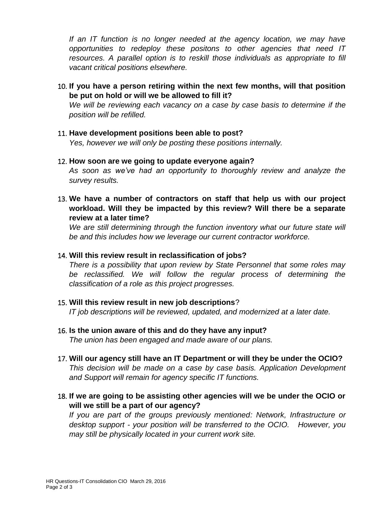*If an IT function is no longer needed at the agency location, we may have opportunities to redeploy these positons to other agencies that need IT resources. A parallel option is to reskill those individuals as appropriate to fill vacant critical positions elsewhere.*

10. **If you have a person retiring within the next few months, will that position be put on hold or will we be allowed to fill it?**

*We will be reviewing each vacancy on a case by case basis to determine if the position will be refilled.* 

- 11. **Have development positions been able to post?** *Yes, however we will only be posting these positions internally.*
- 12. **How soon are we going to update everyone again?** *As soon as we've had an opportunity to thoroughly review and analyze the survey results.*
- 13. **We have a number of contractors on staff that help us with our project workload. Will they be impacted by this review? Will there be a separate review at a later time?**

*We are still determining through the function inventory what our future state will be and this includes how we leverage our current contractor workforce.*

### 14. **Will this review result in reclassification of jobs?**

*There is a possibility that upon review by State Personnel that some roles may be reclassified. We will follow the regular process of determining the classification of a role as this project progresses.* 

- 15. **Will this review result in new job descriptions**? *IT job descriptions will be reviewed, updated, and modernized at a later date.*
- 16. **Is the union aware of this and do they have any input?** *The union has been engaged and made aware of our plans.*
- 17. **Will our agency still have an IT Department or will they be under the OCIO?** *This decision will be made on a case by case basis. Application Development and Support will remain for agency specific IT functions.*
- 18. **If we are going to be assisting other agencies will we be under the OCIO or will we still be a part of our agency?**

*If you are part of the groups previously mentioned: Network, Infrastructure or desktop support - your position will be transferred to the OCIO. However, you may still be physically located in your current work site.*